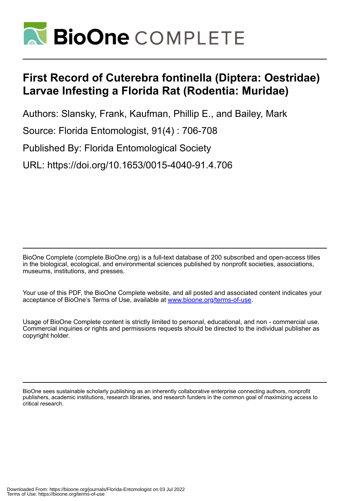

# **First Record of Cuterebra fontinella (Diptera: Oestridae) Larvae Infesting a Florida Rat (Rodentia: Muridae)**

Authors: Slansky, Frank, Kaufman, Phillip E., and Bailey, Mark

Source: Florida Entomologist, 91(4) : 706-708

Published By: Florida Entomological Society

URL: https://doi.org/10.1653/0015-4040-91.4.706

BioOne Complete (complete.BioOne.org) is a full-text database of 200 subscribed and open-access titles in the biological, ecological, and environmental sciences published by nonprofit societies, associations, museums, institutions, and presses.

Your use of this PDF, the BioOne Complete website, and all posted and associated content indicates your acceptance of BioOne's Terms of Use, available at www.bioone.org/terms-of-use.

Usage of BioOne Complete content is strictly limited to personal, educational, and non - commercial use. Commercial inquiries or rights and permissions requests should be directed to the individual publisher as copyright holder.

BioOne sees sustainable scholarly publishing as an inherently collaborative enterprise connecting authors, nonprofit publishers, academic institutions, research libraries, and research funders in the common goal of maximizing access to critical research.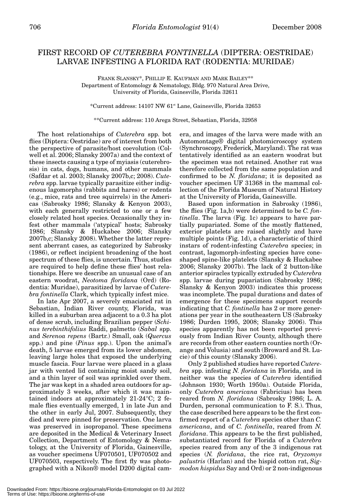## FIRST RECORD OF *CUTEREBRA FONTINELLA* (DIPTERA: OESTRIDAE) LARVAE INFESTING A FLORIDA RAT (RODENTIA: MURIDAE)

FRANK SLANSKY\*, PHILLIP E. KAUFMAN AND MARK BAILEY\*\* Department of Entomology & Nematology, Bldg. 970 Natural Area Drive, University of Florida, Gainesville, Florida 32611

\*Current address: 14107 NW 61st Lane, Gainesville, Florida 32653

### \*\*Current address: 110 Arega Street, Sebastian, Florida, 32958

The host relationships of *Cuterebra* spp. bot flies (Diptera: Oestridae) are of interest from both the perspective of parasite/host coevolution (Colwell et al. 2006; Slansky 2007a) and the context of these insects causing a type of myiasis (cuterebrosis) in cats, dogs, humans, and other mammals (Safdar et al. 2003; Slansky 2007b,c; 2008). *Cuterebra* spp. larvae typically parasitize either indigenous lagomorphs (rabbits and hares) or rodents (e.g., mice, rats and tree squirrels) in the Americas (Sabrosky 1986; Slansky & Kenyon 2003), with each generally restricted to one or a few closely related host species. Occasionally they infest other mammals ('atypical' hosts; Sabrosky 1986; Slansky & Huckabee 2006; Slansky 2007b,c; Slansky 2008). Whether the latter represent aberrant cases, as categorized by Sabrosky (1986), or reflect incipient broadening of the host spectrum of these flies, is uncertain. Thus, studies are required to help define these flies' host relationships. Here we describe an unusual case of an eastern woodrat, *Neotoma floridana* (Ord) (Rodentia: Muridae), parasitized by larvae of *Cuterebra fontinella* Clark, which typically infest mice.

In late Apr 2007, a severely emaciated rat in Sebastian, Indian River county, Florida, was killed in a suburban area adjacent to a 0.3 ha plot of dense scrub, including Brazilian pepper (*Schinus terebinthifolius* Raddi, palmetto (*Sabal* spp. and *Serenoa repens* (Bartr.) Small, oak (*Quercus* spp.) and pine (*Pinus* spp.). Upon the animal's death, 5 larvae emerged from its lower abdomen, leaving large holes that exposed the underlying muscle fascia. Four larvae were placed in a glass jar with vented lid containing moist sandy soil, and a thin layer of soil was sprinkled over them. The jar was kept in a shaded area outdoors for approximately 3 weeks, after which it was maintained indoors at approximately 21-24°C; 2 female flies eventually emerged, 1 in late Jun and the other in early Jul, 2007. Subsequently, they died and were pinned for preservation. One larva was preserved in isopropanol. These specimens are deposited in the Medical & Veterinary Insect Collection, Department of Entomology & Nematology, at the University of Florida, Gainesville, as voucher specimens UF070501, UF070502 and UF070503, respectively. The first fly was photographed with a Nikon® model D200 digital camera, and images of the larva were made with an Automontage® digital photomicroscopy system (Synchroscopy, Frederick, Maryland). The rat was tentatively identified as an eastern woodrat but the specimen was not retained. Another rat was therefore collected from the same population and confirmed to be *N. floridana*; it is deposited as voucher specimen UF 31368 in the mammal collection of the Florida Museum of Natural History at the University of Florida, Gainesville.

Based upon information in Sabrosky (1986), the flies (Fig. 1a,b) were determined to be *C. fontinella*. The larva (Fig. 1c) appears to have partially pupariated. Some of the mostly flattened, exterior platelets are raised slightly and have multiple points (Fig. 1d), a characteristic of third instars of rodent-infesting *Cuterebra* species; in contrast, lagomorph-infesting species have coneshaped spine-like platelets (Slansky & Huckabee 2006; Slansky 2007b). The lack of 2 button-like anterior spiracles typically extruded by *Cuterebra* spp. larvae during pupariation (Sabrosky 1986; Slansky & Kenyon 2003) indicates this process was incomplete. The pupal durations and dates of emergence for these specimens support records indicating that *C. fontinella* has 2 or more generations per year in the southeastern US (Sabrosky 1986; Durden 1995, 2008; Slansky 2006). This species apparently has not been reported previously from Indian River County, although there are records from other eastern counties north (Orange and Volusia) and south (Broward and St. Lucie) of this county (Slansky 2006).

Only 2 published studies have reported *Cuterebra* spp. infesting *N. floridana* in Florida, and in neither was the species of *Cuterebra* identified (Johnson 1930; Worth 1950a). Outside Florida, only *Cuterebra americana* (Fabricius) has been reared from *N. floridana* (Sabrosky 1986; L. A. Durden, personal communication to F. S.). Thus, the case described here appears to be the first confirmed report of a *Cuterebra* species other than *C. americana*, and of *C. fontinella*, reared from *N. floridana*. This appears to be the first published, substantiated record for Florida of a *Cuterebra* species reared from any of the 3 indigenous rat species (*N. floridana*, the rice rat, *Oryzomys palustris* (Harlan) and the hispid cotton rat, *Sigmodon hispidus* Say and Ord) or 2 non-indigenous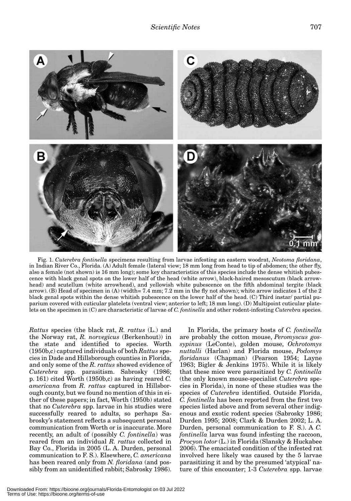

Fig. 1. *Cuterebra fontinella* specimens resulting from larvae infesting an eastern woodrat, *Neotoma floridana*, in Indian River Co., Florida. (A) Adult female (lateral view; 18 mm long from head to tip of abdomen; the other fly, also a female (not shown) is 16 mm long); some key characteristics of this species include the dense whitish pubescence with black genal spots on the lower half of the head (white arrow), black-haired mesoscutum (black arrowhead) and scutellum (white arrowhead), and yellowish white pubescence on the fifth abdominal tergite (black arrow). (B) Head of specimen in (A) (width= 7.4 mm; 7.2 mm in the fly not shown); white arrow indicates 1 of the 2 black genal spots within the dense whitish pubescence on the lower half of the head. (C) Third instar/ partial puparium covered with cuticular platelets (ventral view; anterior to left; 18 mm long). (D) Multipoint cuticular platelets on the specimen in (C) are characteristic of larvae of *C. fontinella* and other rodent-infesting *Cuterebra* species.

*Rattus* species (the black rat, *R. rattus* (L.) and the Norway rat, *R. norvegicus* (Berkenhout)) in the state and identified to species. Worth (1950b,c) captured individuals of both *Rattus* species in Dade and Hillsborough counties in Florida, and only some of the *R. rattus* showed evidence of *Cuterebra* spp. parasitism. Sabrosky (1986; p. 161) cited Worth (1950b,c) as having reared *C. americana* from *R. rattus* captured in Hillsborough county, but we found no mention of this in either of these papers; in fact, Worth (1950b) stated that no *Cuterebra* spp. larvae in his studies were successfully reared to adults, so perhaps Sabrosky's statement reflects a subsequent personal communication from Worth or is inaccurate. More recently, an adult of (possibly *C. fontinella*) was reared from an individual *R. rattus* collected in Bay Co., Florida in 2005 (L. A. Durden, personal communication to F. S.). Elsewhere, *C. americana* has been reared only from *N. floridana* (and possibly from an unidentified rabbit; Sabrosky 1986).

In Florida, the primary hosts of *C. fontinella* are probably the cotton mouse, *Peromyscus gossypinus* (LeConte), golden mouse, *Ochrotomys nuttalli* (Harlan) and Florida mouse, *Podomys floridanus* (Chapman) (Pearson 1954; Layne 1963; Bigler & Jenkins 1975). While it is likely that these mice were parasitized by *C. fontinella* (the only known mouse-specialist *Cuterebra* species in Florida), in none of these studies was the species of *Cuterebra* identified. Outside Florida, *C. fontinella* has been reported from the first two species listed above and from several other indigenous and exotic rodent species (Sabrosky 1986; Durden 1995; 2008; Clark & Durden 2002; L. A. Durden, personal communication to F. S.). A *C. fontinella* larva was found infesting the raccoon, *Procyon lotor* (L.) in Florida (Slansky & Huckabee 2006). The emaciated condition of the infested rat involved here likely was caused by the 5 larvae parasitizing it and by the presumed 'atypical' nature of this encounter; 1-3 *Cuterebra* spp. larvae